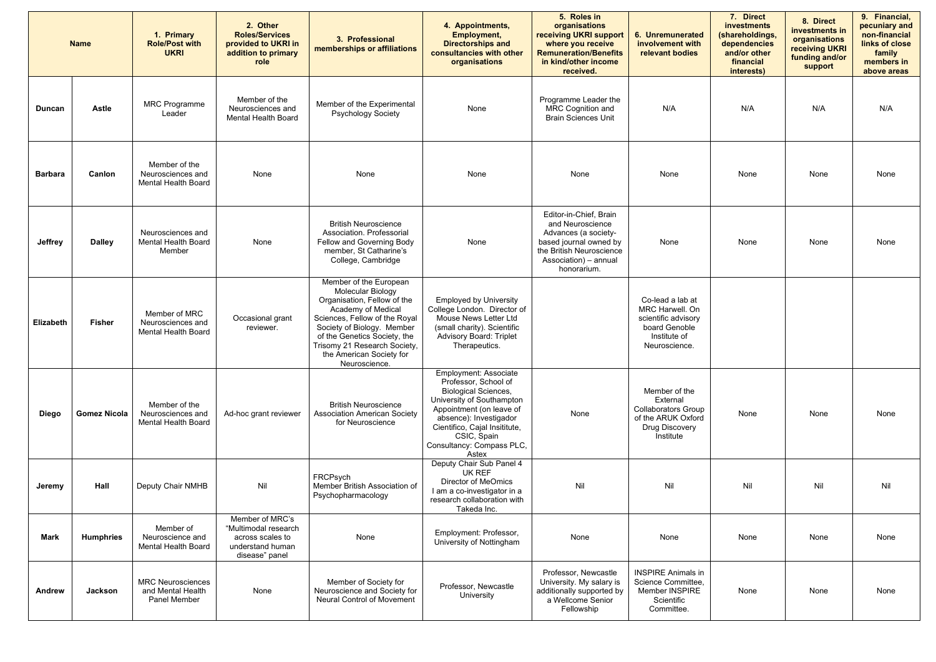| <b>Name</b>      |                     | 1. Primary<br><b>Role/Post with</b><br><b>UKRI</b>                   | 2. Other<br><b>Roles/Services</b><br>provided to UKRI in<br>addition to primary<br>role           | 3. Professional<br>memberships or affiliations                                                                                                                                                                                                                                      | 4. Appointments,<br><b>Employment,</b><br><b>Directorships and</b><br>consultancies with other<br>organisations                                                                                                                                       | 5. Roles in<br>organisations<br>receiving UKRI support<br>where you receive<br><b>Remuneration/Benefits</b><br>in kind/other income<br>received.                 | 6. Unremunerated<br>involvement with<br>relevant bodies                                                      | 7. Direct<br>investments<br>(shareholdings,<br>dependencies<br>and/or other<br>financial<br>interests) | 8. Direct<br>investments in<br>organisations<br>receiving UKRI<br>funding and/or<br>support | 9. Financial,<br>pecuniary and<br>non-financial<br>links of close<br>family<br>members in<br>above areas |
|------------------|---------------------|----------------------------------------------------------------------|---------------------------------------------------------------------------------------------------|-------------------------------------------------------------------------------------------------------------------------------------------------------------------------------------------------------------------------------------------------------------------------------------|-------------------------------------------------------------------------------------------------------------------------------------------------------------------------------------------------------------------------------------------------------|------------------------------------------------------------------------------------------------------------------------------------------------------------------|--------------------------------------------------------------------------------------------------------------|--------------------------------------------------------------------------------------------------------|---------------------------------------------------------------------------------------------|----------------------------------------------------------------------------------------------------------|
| <b>Duncan</b>    | <b>Astle</b>        | <b>MRC Programme</b><br>Leader                                       | Member of the<br>Neurosciences and<br><b>Mental Health Board</b>                                  | Member of the Experimental<br><b>Psychology Society</b>                                                                                                                                                                                                                             | None                                                                                                                                                                                                                                                  | Programme Leader the<br>MRC Cognition and<br><b>Brain Sciences Unit</b>                                                                                          | N/A                                                                                                          | N/A                                                                                                    | N/A                                                                                         | N/A                                                                                                      |
| <b>Barbara</b>   | Canlon              | Member of the<br>Neurosciences and<br><b>Mental Health Board</b>     | None                                                                                              | None                                                                                                                                                                                                                                                                                | None                                                                                                                                                                                                                                                  | None                                                                                                                                                             | None                                                                                                         | None                                                                                                   | None                                                                                        | None                                                                                                     |
| <b>Jeffrey</b>   | <b>Dalley</b>       | Neurosciences and<br><b>Mental Health Board</b><br>Member            | None                                                                                              | <b>British Neuroscience</b><br>Association. Professorial<br>Fellow and Governing Body<br>member, St Catharine's<br>College, Cambridge                                                                                                                                               | None                                                                                                                                                                                                                                                  | Editor-in-Chief, Brain<br>and Neuroscience<br>Advances (a society-<br>based journal owned by<br>the British Neuroscience<br>Association) - annual<br>honorarium. | None                                                                                                         | None                                                                                                   | None                                                                                        | None                                                                                                     |
| <b>Elizabeth</b> | <b>Fisher</b>       | Member of MRC<br>Neurosciences and<br><b>Mental Health Board</b>     | Occasional grant<br>reviewer.                                                                     | Member of the European<br><b>Molecular Biology</b><br>Organisation, Fellow of the<br>Academy of Medical<br>Sciences, Fellow of the Royal<br>Society of Biology. Member<br>of the Genetics Society, the<br>Trisomy 21 Research Society,<br>the American Society for<br>Neuroscience. | <b>Employed by University</b><br>College London. Director of<br>Mouse News Letter Ltd<br>(small charity). Scientific<br><b>Advisory Board: Triplet</b><br>Therapeutics.                                                                               |                                                                                                                                                                  | Co-lead a lab at<br>MRC Harwell. On<br>scientific advisory<br>board Genoble<br>Institute of<br>Neuroscience. |                                                                                                        |                                                                                             |                                                                                                          |
| <b>Diego</b>     | <b>Gomez Nicola</b> | Member of the<br>Neurosciences and<br>Mental Health Board            | Ad-hoc grant reviewer                                                                             | <b>British Neuroscience</b><br><b>Association American Society</b><br>for Neuroscience                                                                                                                                                                                              | Employment: Associate<br>Professor, School of<br><b>Biological Sciences,</b><br>University of Southampton<br>Appointment (on leave of<br>absence): Investigador<br>Cientifico, Cajal Insititute,<br>CSIC, Spain<br>Consultancy: Compass PLC,<br>Astex | None                                                                                                                                                             | Member of the<br>External<br><b>Collaborators Group</b><br>of the ARUK Oxford<br>Drug Discovery<br>Institute | None                                                                                                   | None                                                                                        | None                                                                                                     |
| Jeremy           | Hall                | Deputy Chair NMHB                                                    | Nil                                                                                               | FRCPsych<br>Member British Association of<br>Psychopharmacology                                                                                                                                                                                                                     | Deputy Chair Sub Panel 4<br>UK REF<br><b>Director of MeOmics</b><br>I am a co-investigator in a<br>research collaboration with<br>Takeda Inc.                                                                                                         | Nil                                                                                                                                                              | Nil                                                                                                          | Nil                                                                                                    | Nil                                                                                         | Nil                                                                                                      |
| <b>Mark</b>      | <b>Humphries</b>    | Member of<br>Neuroscience and<br><b>Mental Health Board</b>          | Member of MRC's<br>"Multimodal research<br>across scales to<br>understand human<br>disease" panel | None                                                                                                                                                                                                                                                                                | Employment: Professor,<br>University of Nottingham                                                                                                                                                                                                    | None                                                                                                                                                             | None                                                                                                         | None                                                                                                   | None                                                                                        | None                                                                                                     |
| <b>Andrew</b>    | <b>Jackson</b>      | <b>MRC Neurosciences</b><br>and Mental Health<br><b>Panel Member</b> | None                                                                                              | Member of Society for<br>Neuroscience and Society for<br><b>Neural Control of Movement</b>                                                                                                                                                                                          | Professor, Newcastle<br>University                                                                                                                                                                                                                    | Professor, Newcastle<br>University. My salary is<br>additionally supported by<br>a Wellcome Senior<br>Fellowship                                                 | <b>INSPIRE Animals in</b><br>Science Committee,<br>Member INSPIRE<br>Scientific<br>Committee.                | None                                                                                                   | None                                                                                        | None                                                                                                     |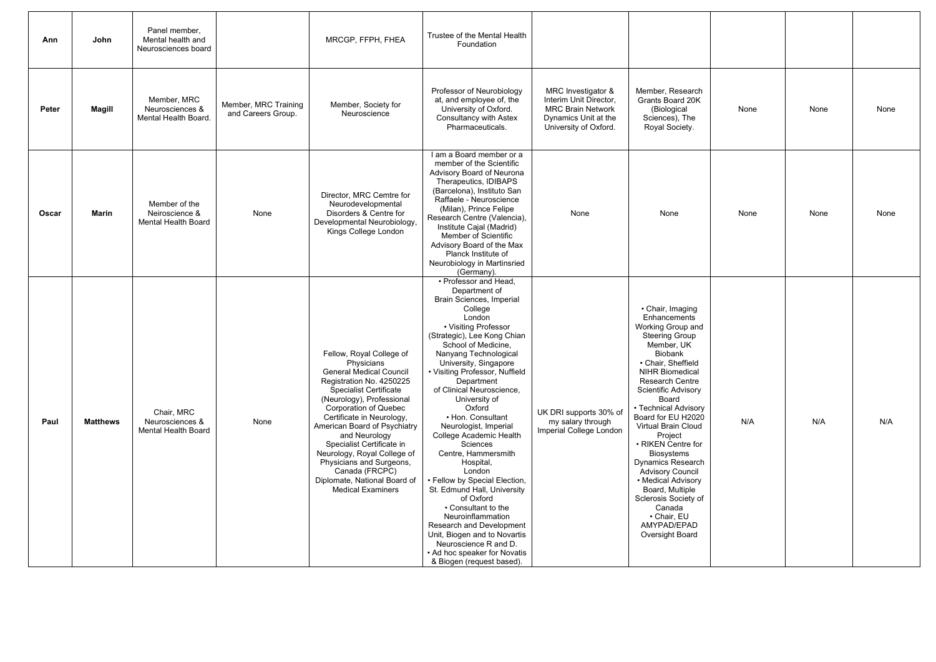| Ann          | John            | Panel member,<br>Mental health and<br>Neurosciences board     |                                            | MRCGP, FFPH, FHEA                                                                                                                                                                                                                                                                                                                                                                                                                                      | Trustee of the Mental Health<br>Foundation                                                                                                                                                                                                                                                                                                                                                                                                                                                                                                                                                                                                                                                                                                    |                                                                                                                           |                                                                                                                                                                                                                                                                                                                                                                                                                                                                                                                                               |      |      |      |
|--------------|-----------------|---------------------------------------------------------------|--------------------------------------------|--------------------------------------------------------------------------------------------------------------------------------------------------------------------------------------------------------------------------------------------------------------------------------------------------------------------------------------------------------------------------------------------------------------------------------------------------------|-----------------------------------------------------------------------------------------------------------------------------------------------------------------------------------------------------------------------------------------------------------------------------------------------------------------------------------------------------------------------------------------------------------------------------------------------------------------------------------------------------------------------------------------------------------------------------------------------------------------------------------------------------------------------------------------------------------------------------------------------|---------------------------------------------------------------------------------------------------------------------------|-----------------------------------------------------------------------------------------------------------------------------------------------------------------------------------------------------------------------------------------------------------------------------------------------------------------------------------------------------------------------------------------------------------------------------------------------------------------------------------------------------------------------------------------------|------|------|------|
| Peter        | Magill          | Member, MRC<br>Neurosciences &<br>Mental Health Board.        | Member, MRC Training<br>and Careers Group. | Member, Society for<br>Neuroscience                                                                                                                                                                                                                                                                                                                                                                                                                    | Professor of Neurobiology<br>at, and employee of, the<br>University of Oxford.<br><b>Consultancy with Astex</b><br>Pharmaceuticals.                                                                                                                                                                                                                                                                                                                                                                                                                                                                                                                                                                                                           | MRC Investigator &<br>Interim Unit Director,<br><b>MRC Brain Network</b><br>Dynamics Unit at the<br>University of Oxford. | Member, Research<br>Grants Board 20K<br>(Biological<br>Sciences), The<br>Royal Society.                                                                                                                                                                                                                                                                                                                                                                                                                                                       | None | None | None |
| <b>Oscar</b> | <b>Marin</b>    | Member of the<br>Neiroscience &<br><b>Mental Health Board</b> | None                                       | Director, MRC Cemtre for<br>Neurodevelopmental<br>Disorders & Centre for<br>Developmental Neurobiology,<br>Kings College London                                                                                                                                                                                                                                                                                                                        | I am a Board member or a<br>member of the Scientific<br>Advisory Board of Neurona<br>Therapeutics, IDIBAPS<br>(Barcelona), Instituto San<br>Raffaele - Neuroscience<br>(Milan), Prince Felipe<br>Research Centre (Valencia),<br>Institute Cajal (Madrid)<br>Member of Scientific<br>Advisory Board of the Max<br>Planck Institute of<br>Neurobiology in Martinsried<br>(Germany).                                                                                                                                                                                                                                                                                                                                                             | None                                                                                                                      | None                                                                                                                                                                                                                                                                                                                                                                                                                                                                                                                                          | None | None | None |
| Paul         | <b>Matthews</b> | Chair, MRC<br>Neurosciences &<br><b>Mental Health Board</b>   | None                                       | Fellow, Royal College of<br>Physicians<br><b>General Medical Council</b><br>Registration No. 4250225<br><b>Specialist Certificate</b><br>(Neurology), Professional<br><b>Corporation of Quebec</b><br>Certificate in Neurology,<br>American Board of Psychiatry<br>and Neurology<br>Specialist Certificate in<br>Neurology, Royal College of<br>Physicians and Surgeons,<br>Canada (FRCPC)<br>Diplomate, National Board of<br><b>Medical Examiners</b> | • Professor and Head,<br>Department of<br>Brain Sciences, Imperial<br>College<br>London<br>• Visiting Professor<br>(Strategic), Lee Kong Chian<br>School of Medicine,<br>Nanyang Technological<br>University, Singapore<br>• Visiting Professor, Nuffield<br>Department<br>of Clinical Neuroscience,<br>University of<br>Oxford<br>• Hon. Consultant<br>Neurologist, Imperial<br>College Academic Health<br>Sciences<br>Centre, Hammersmith<br>Hospital,<br>London<br>• Fellow by Special Election,<br>St. Edmund Hall, University<br>of Oxford<br>• Consultant to the<br>Neuroinflammation<br>Research and Development<br>Unit, Biogen and to Novartis<br>Neuroscience R and D.<br>• Ad hoc speaker for Novatis<br>& Biogen (request based). | UK DRI supports 30% of<br>my salary through<br>Imperial College London                                                    | • Chair, Imaging<br>Enhancements<br>Working Group and<br><b>Steering Group</b><br>Member, UK<br><b>Biobank</b><br>• Chair, Sheffield<br><b>NIHR Biomedical</b><br><b>Research Centre</b><br>Scientific Advisory<br>Board<br>• Technical Advisory<br>Board for EU H2020<br><b>Virtual Brain Cloud</b><br>Project<br>• RIKEN Centre for<br><b>Biosystems</b><br><b>Dynamics Research</b><br><b>Advisory Council</b><br>• Medical Advisory<br>Board, Multiple<br>Sclerosis Society of<br>Canada<br>• Chair, EU<br>AMYPAD/EPAD<br>Oversight Board | N/A  | N/A  | N/A  |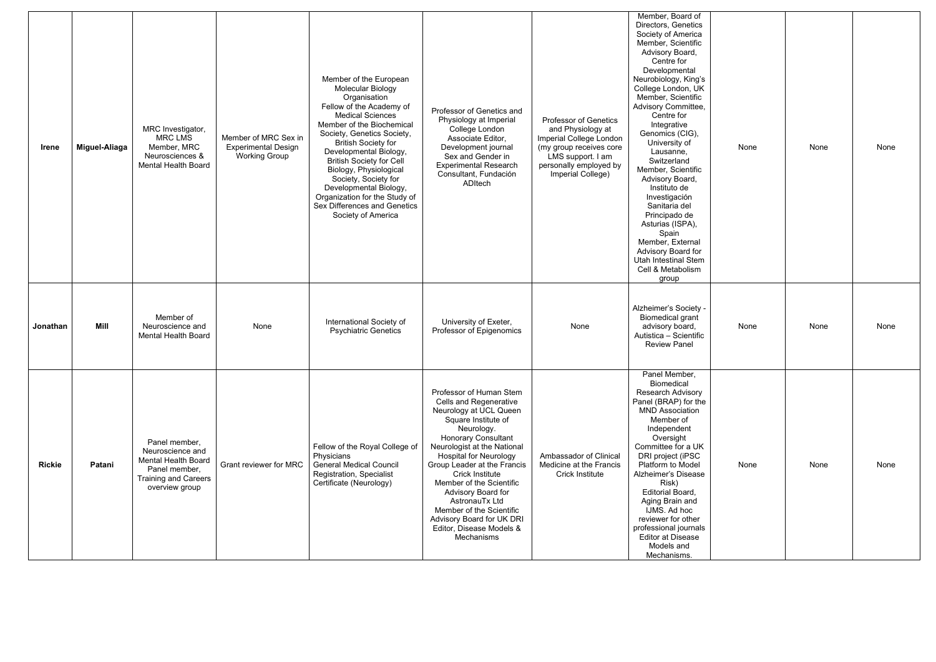| Irene         | Miguel-Aliaga | MRC Investigator,<br><b>MRC LMS</b><br>Member, MRC<br>Neurosciences &<br>Mental Health Board                                      | Member of MRC Sex in<br><b>Experimental Design</b><br><b>Working Group</b> | Member of the European<br><b>Molecular Biology</b><br>Organisation<br>Fellow of the Academy of<br><b>Medical Sciences</b><br>Member of the Biochemical<br>Society, Genetics Society,<br><b>British Society for</b><br>Developmental Biology,<br><b>British Society for Cell</b><br>Biology, Physiological<br>Society, Society for<br>Developmental Biology,<br>Organization for the Study of<br>Sex Differences and Genetics<br>Society of America | Professor of Genetics and<br>Physiology at Imperial<br>College London<br>Associate Editor,<br>Development journal<br>Sex and Gender in<br><b>Experimental Research</b><br>Consultant, Fundación<br>ADItech                                                                                                                                                                                                                                     | Professor of Genetics<br>and Physiology at<br>Imperial College London<br>(my group receives core<br>LMS support. I am<br>personally employed by<br>Imperial College) | Member, Board of<br>Directors, Genetics<br>Society of America<br>Member, Scientific<br>Advisory Board,<br>Centre for<br>Developmental<br>Neurobiology, King's<br>College London, UK<br>Member, Scientific<br><b>Advisory Committee,</b><br>Centre for<br>Integrative<br>Genomics (CIG),<br>University of<br>Lausanne,<br>Switzerland<br>Member, Scientific<br>Advisory Board,<br>Instituto de<br>Investigación<br>Sanitaria del<br>Principado de<br>Asturias (ISPA),<br>Spain<br>Member, External<br>Advisory Board for<br><b>Utah Intestinal Stem</b><br>Cell & Metabolism<br>group | None | None | None |
|---------------|---------------|-----------------------------------------------------------------------------------------------------------------------------------|----------------------------------------------------------------------------|----------------------------------------------------------------------------------------------------------------------------------------------------------------------------------------------------------------------------------------------------------------------------------------------------------------------------------------------------------------------------------------------------------------------------------------------------|------------------------------------------------------------------------------------------------------------------------------------------------------------------------------------------------------------------------------------------------------------------------------------------------------------------------------------------------------------------------------------------------------------------------------------------------|----------------------------------------------------------------------------------------------------------------------------------------------------------------------|--------------------------------------------------------------------------------------------------------------------------------------------------------------------------------------------------------------------------------------------------------------------------------------------------------------------------------------------------------------------------------------------------------------------------------------------------------------------------------------------------------------------------------------------------------------------------------------|------|------|------|
| Jonathan      | Mill          | Member of<br>Neuroscience and<br><b>Mental Health Board</b>                                                                       | None                                                                       | International Society of<br><b>Psychiatric Genetics</b>                                                                                                                                                                                                                                                                                                                                                                                            | University of Exeter,<br>Professor of Epigenomics                                                                                                                                                                                                                                                                                                                                                                                              | None                                                                                                                                                                 | Alzheimer's Society -<br><b>Biomedical grant</b><br>advisory board,<br>Autistica - Scientific<br><b>Review Panel</b>                                                                                                                                                                                                                                                                                                                                                                                                                                                                 | None | None | None |
| <b>Rickie</b> | Patani        | Panel member,<br>Neuroscience and<br><b>Mental Health Board</b><br>Panel member,<br><b>Training and Careers</b><br>overview group | Grant reviewer for MRC                                                     | Fellow of the Royal College of<br>Physicians<br><b>General Medical Council</b><br><b>Registration, Specialist</b><br>Certificate (Neurology)                                                                                                                                                                                                                                                                                                       | Professor of Human Stem<br><b>Cells and Regenerative</b><br>Neurology at UCL Queen<br>Square Institute of<br>Neurology.<br><b>Honorary Consultant</b><br>Neurologist at the National<br><b>Hospital for Neurology</b><br>Group Leader at the Francis<br>Crick Institute<br>Member of the Scientific<br>Advisory Board for<br>AstronauTx Ltd<br>Member of the Scientific<br>Advisory Board for UK DRI<br>Editor, Disease Models &<br>Mechanisms | Ambassador of Clinical<br>Medicine at the Francis<br>Crick Institute                                                                                                 | Panel Member,<br>Biomedical<br><b>Research Advisory</b><br>Panel (BRAP) for the<br><b>MND Association</b><br>Member of<br>Independent<br>Oversight<br>Committee for a UK<br>DRI project (iPSC<br>Platform to Model<br>Alzheimer's Disease<br>Risk)<br><b>Editorial Board,</b><br>Aging Brain and<br>IJMS. Ad hoc<br>reviewer for other<br>professional journals<br><b>Editor at Disease</b><br>Models and<br>Mechanisms.                                                                                                                                                             | None | None | None |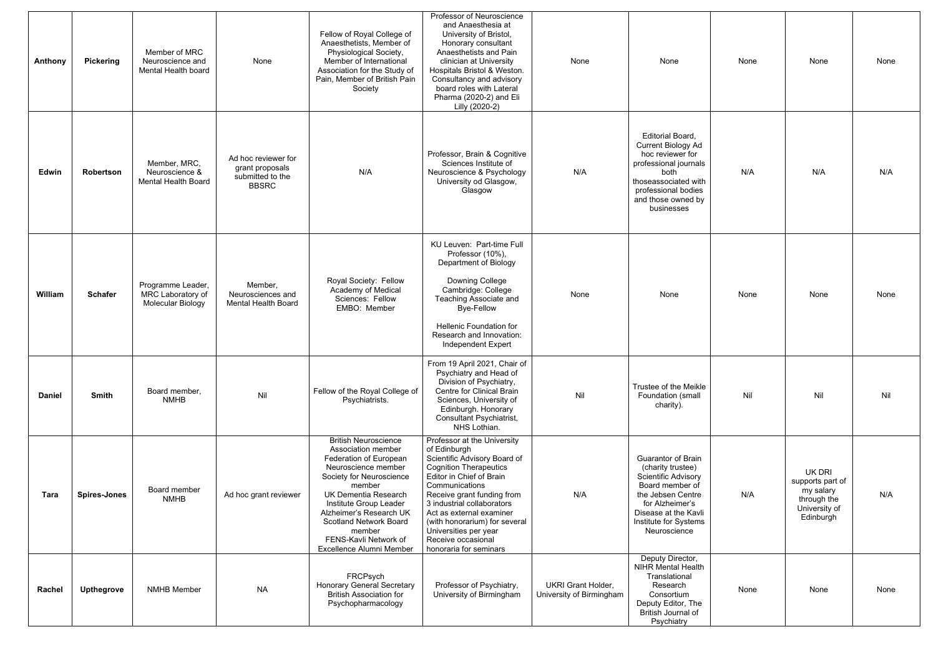| Anthony       | <b>Pickering</b>    | Member of MRC<br>Neuroscience and<br>Mental Health board     | None                                                                       | Fellow of Royal College of<br>Anaesthetists, Member of<br>Physiological Society,<br>Member of International<br>Association for the Study of<br>Pain, Member of British Pain<br>Society                                                                                                                                       | Professor of Neuroscience<br>and Anaesthesia at<br>University of Bristol,<br>Honorary consultant<br>Anaesthetists and Pain<br>clinician at University<br>Hospitals Bristol & Weston.<br>Consultancy and advisory<br>board roles with Lateral<br>Pharma (2020-2) and Eli<br>Lilly (2020-2)                                                                    | None                                                  | None                                                                                                                                                                                              | None | None                                                                                        | None |
|---------------|---------------------|--------------------------------------------------------------|----------------------------------------------------------------------------|------------------------------------------------------------------------------------------------------------------------------------------------------------------------------------------------------------------------------------------------------------------------------------------------------------------------------|--------------------------------------------------------------------------------------------------------------------------------------------------------------------------------------------------------------------------------------------------------------------------------------------------------------------------------------------------------------|-------------------------------------------------------|---------------------------------------------------------------------------------------------------------------------------------------------------------------------------------------------------|------|---------------------------------------------------------------------------------------------|------|
| Edwin         | Robertson           | Member, MRC,<br>Neuroscience &<br><b>Mental Health Board</b> | Ad hoc reviewer for<br>grant proposals<br>submitted to the<br><b>BBSRC</b> | N/A                                                                                                                                                                                                                                                                                                                          | Professor, Brain & Cognitive<br>Sciences Institute of<br>Neuroscience & Psychology<br>University od Glasgow,<br>Glasgow                                                                                                                                                                                                                                      | N/A                                                   | Editorial Board,<br><b>Current Biology Ad</b><br>hoc reviewer for<br>professional journals<br>both<br>thoseassociated with<br>professional bodies<br>and those owned by<br>businesses             | N/A  | N/A                                                                                         | N/A  |
| William       | <b>Schafer</b>      | Programme Leader,<br>MRC Laboratory of<br>Molecular Biology  | Member,<br>Neurosciences and<br><b>Mental Health Board</b>                 | Royal Society: Fellow<br>Academy of Medical<br>Sciences: Fellow<br>EMBO: Member                                                                                                                                                                                                                                              | KU Leuven: Part-time Full<br>Professor (10%),<br><b>Department of Biology</b><br>Downing College<br>Cambridge: College<br>Teaching Associate and<br><b>Bye-Fellow</b><br><b>Hellenic Foundation for</b><br>Research and Innovation:<br>Independent Expert                                                                                                    | None                                                  | None                                                                                                                                                                                              | None | None                                                                                        | None |
| <b>Daniel</b> | <b>Smith</b>        | Board member,<br><b>NMHB</b>                                 | Nil                                                                        | Fellow of the Royal College of<br>Psychiatrists.                                                                                                                                                                                                                                                                             | From 19 April 2021, Chair of<br>Psychiatry and Head of<br>Division of Psychiatry,<br>Centre for Clinical Brain<br>Sciences, University of<br>Edinburgh. Honorary<br>Consultant Psychiatrist,<br>NHS Lothian.                                                                                                                                                 | Nil                                                   | Trustee of the Meikle<br>Foundation (small<br>charity).                                                                                                                                           | Nil  | Nil                                                                                         | Nil  |
| <b>Tara</b>   | <b>Spires-Jones</b> | Board member<br><b>NMHB</b>                                  | Ad hoc grant reviewer                                                      | <b>British Neuroscience</b><br>Association member<br>Federation of European<br>Neuroscience member<br>Society for Neuroscience<br>member<br><b>UK Dementia Research</b><br>Institute Group Leader<br>Alzheimer's Research UK<br><b>Scotland Network Board</b><br>member<br>FENS-Kavli Network of<br>Excellence Alumni Member | Professor at the University<br>of Edinburgh<br>Scientific Advisory Board of<br><b>Cognition Therapeutics</b><br>Editor in Chief of Brain<br>Communications<br>Receive grant funding from<br>3 industrial collaborators<br>Act as external examiner<br>(with honorarium) for several<br>Universities per year<br>Receive occasional<br>honoraria for seminars | N/A                                                   | <b>Guarantor of Brain</b><br>(charity trustee)<br>Scientific Advisory<br>Board member of<br>the Jebsen Centre<br>for Alzheimer's<br>Disease at the Kavli<br>Institute for Systems<br>Neuroscience | N/A  | <b>UK DRI</b><br>supports part of<br>my salary<br>through the<br>University of<br>Edinburgh | N/A  |
| Rachel        | <b>Upthegrove</b>   | <b>NMHB Member</b>                                           | <b>NA</b>                                                                  | FRCPsych<br><b>Honorary General Secretary</b><br><b>British Association for</b><br>Psychopharmacology                                                                                                                                                                                                                        | Professor of Psychiatry,<br>University of Birmingham                                                                                                                                                                                                                                                                                                         | <b>UKRI Grant Holder,</b><br>University of Birmingham | Deputy Director,<br><b>NIHR Mental Health</b><br>Translational<br>Research<br>Consortium<br>Deputy Editor, The<br>British Journal of<br>Psychiatry                                                | None | None                                                                                        | None |